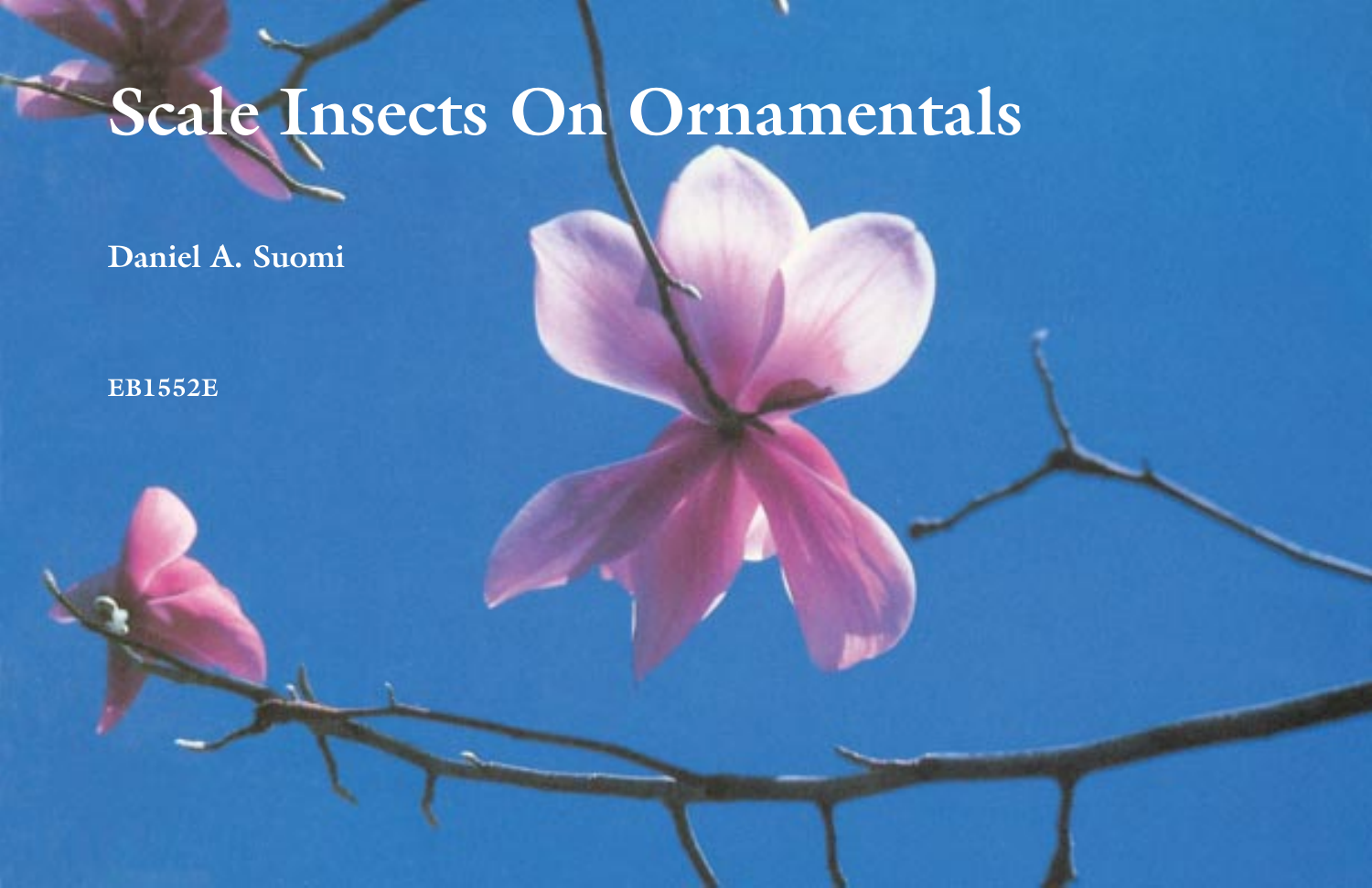# **Scale Insects On Ornamentals**

**Daniel A. Suomi**

**EB1552E**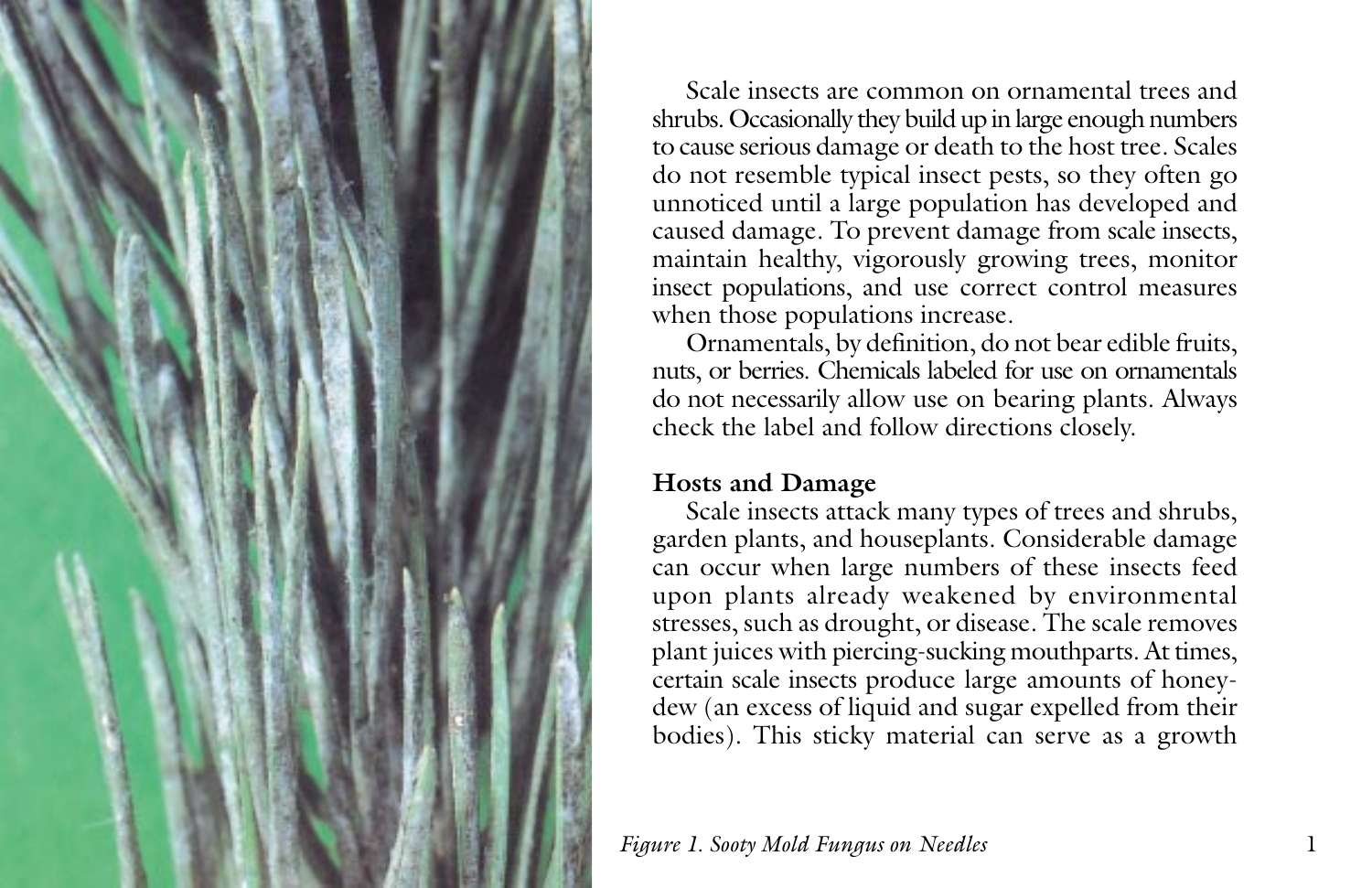

Scale insects are common on ornamental trees and shrubs. Occasionally they build up in large enough numbers to cause serious damage or death to the host tree. Scales do not resemble typical insect pests, so they often go unnoticed until a large population has developed and caused damage. To prevent damage from scale insects, maintain healthy, vigorously growing trees, monitor insect populations, and use correct control measures when those populations increase.

Ornamentals, by definition, do not bear edible fruits, nuts, or berries. Chemicals labeled for use on ornamentals do not necessarily allow use on bearing plants. Always check the label and follow directions closely.

#### **Hosts and Damage**

Scale insects attack many types of trees and shrubs, garden plants, and houseplants. Considerable damage can occur when large numbers of these insects feed upon plants already weakened by environmental stresses, such as drought, or disease. The scale removes plant juices with piercing-sucking mouthparts. At times, certain scale insects produce large amounts of honeydew (an excess of liquid and sugar expelled from their bodies). This sticky material can serve as a growth

*Figure 1. Sooty Mold Fungus on Needles* 1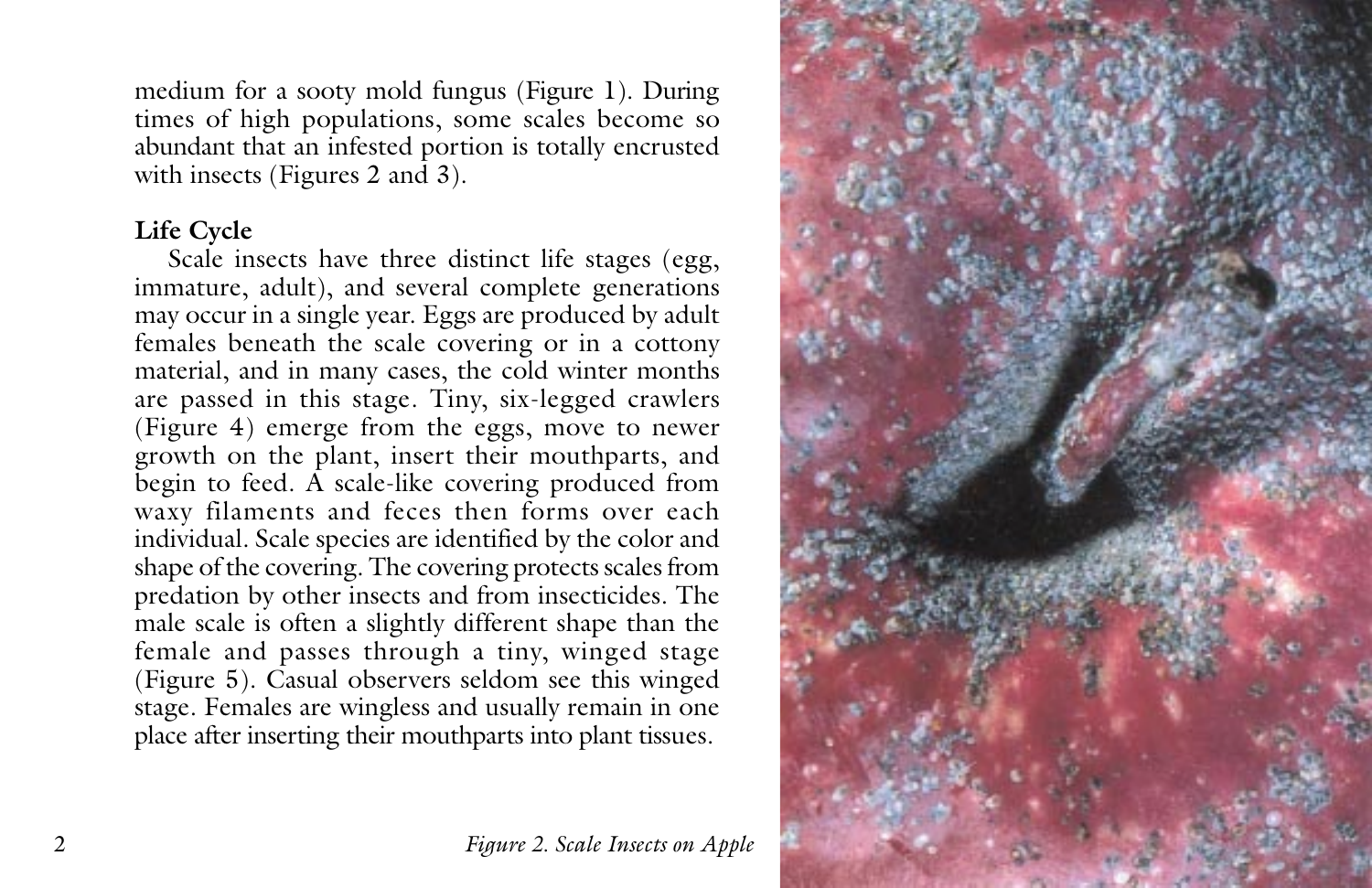medium for a sooty mold fungus (Figure 1). During times of high populations, some scales become so abundant that an infested portion is totally encrusted with insects (Figures 2 and 3).

# **Life Cycle**

Scale insects have three distinct life stages (egg, immature, adult), and several complete generations may occur in a single year. Eggs are produced by adult females beneath the scale covering or in a cottony material, and in many cases, the cold winter months are passed in this stage. Tiny, six-legged crawlers (Figure 4) emerge from the eggs, move to newer growth on the plant, insert their mouthparts, and begin to feed.  $\hat{A}$  scale-like covering produced from waxy filaments and feces then forms over each individual. Scale species are identified by the color and shape of the covering. The covering protects scales from predation by other insects and from insecticides. The male scale is often a slightly different shape than the female and passes through a tiny, winged stage (Figure 5). Casual observers seldom see this winged stage. Females are wingless and usually remain in one place after inserting their mouthparts into plant tissues.



2 *Figure 2. Scale Insects on Apple*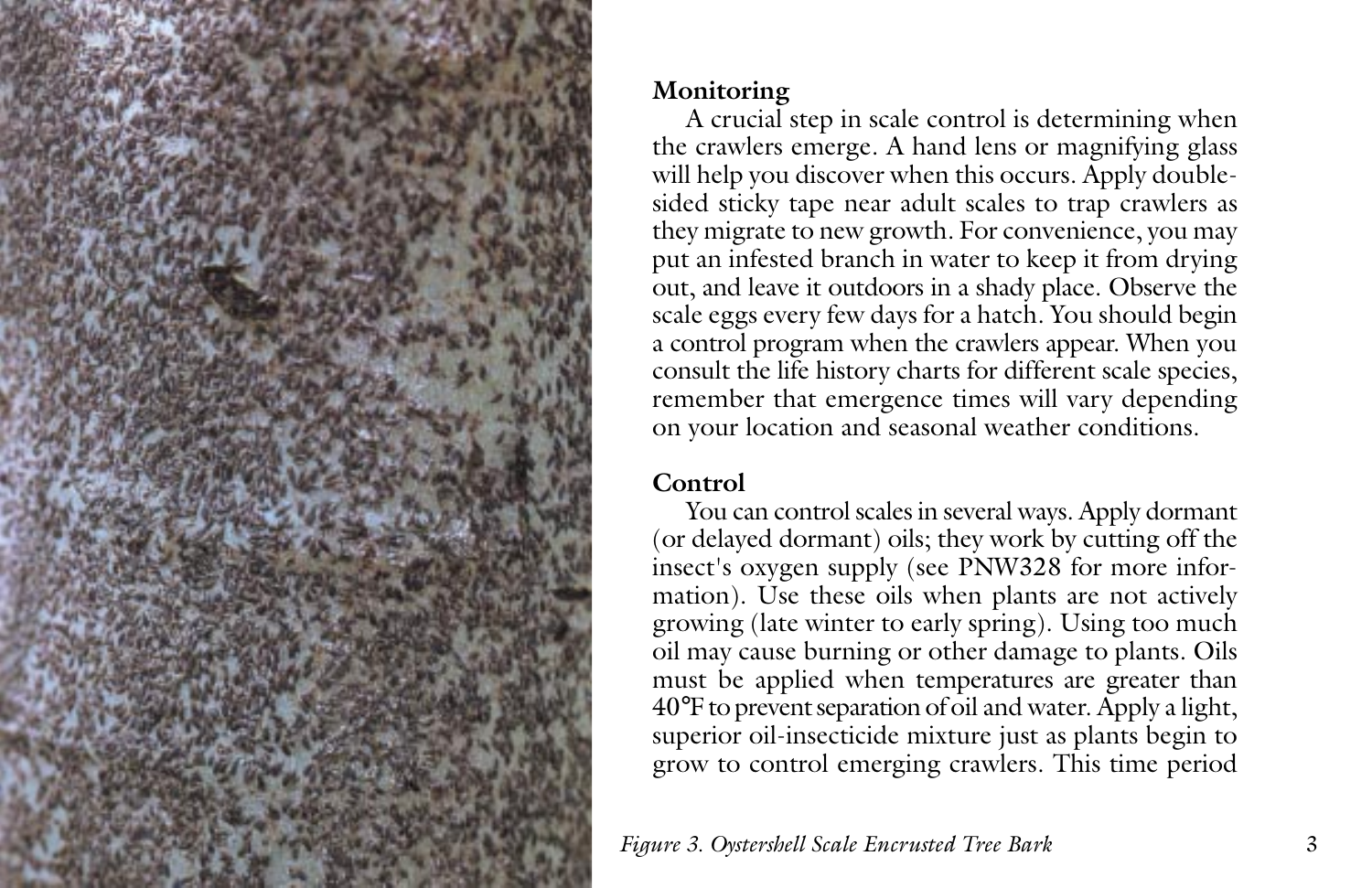

## **Monitoring**

A crucial step in scale control is determining when the crawlers emerge. A hand lens or magnifying glass will help you discover when this occurs. Apply doublesided sticky tape near adult scales to trap crawlers as they migrate to new growth. For convenience, you may put an infested branch in water to keep it from drying out, and leave it outdoors in a shady place. Observe the scale eggs every few days for a hatch. You should begin a control program when the crawlers appear. When you consult the life history charts for different scale species, remember that emergence times will vary depending on your location and seasonal weather conditions.

# **Control**

You can control scales in several ways. Apply dormant (or delayed dormant) oils; they work by cutting off the insect's oxygen supply (see PNW328 for more information). Use these oils when plants are not actively growing (late winter to early spring). Using too much oil may cause burning or other damage to plants. Oils must be applied when temperatures are greater than 40°F to prevent separation of oil and water. Apply a light, superior oil-insecticide mixture just as plants begin to grow to control emerging crawlers. This time period

*Figure 3. Oystershell Scale Encrusted Tree Bark* 3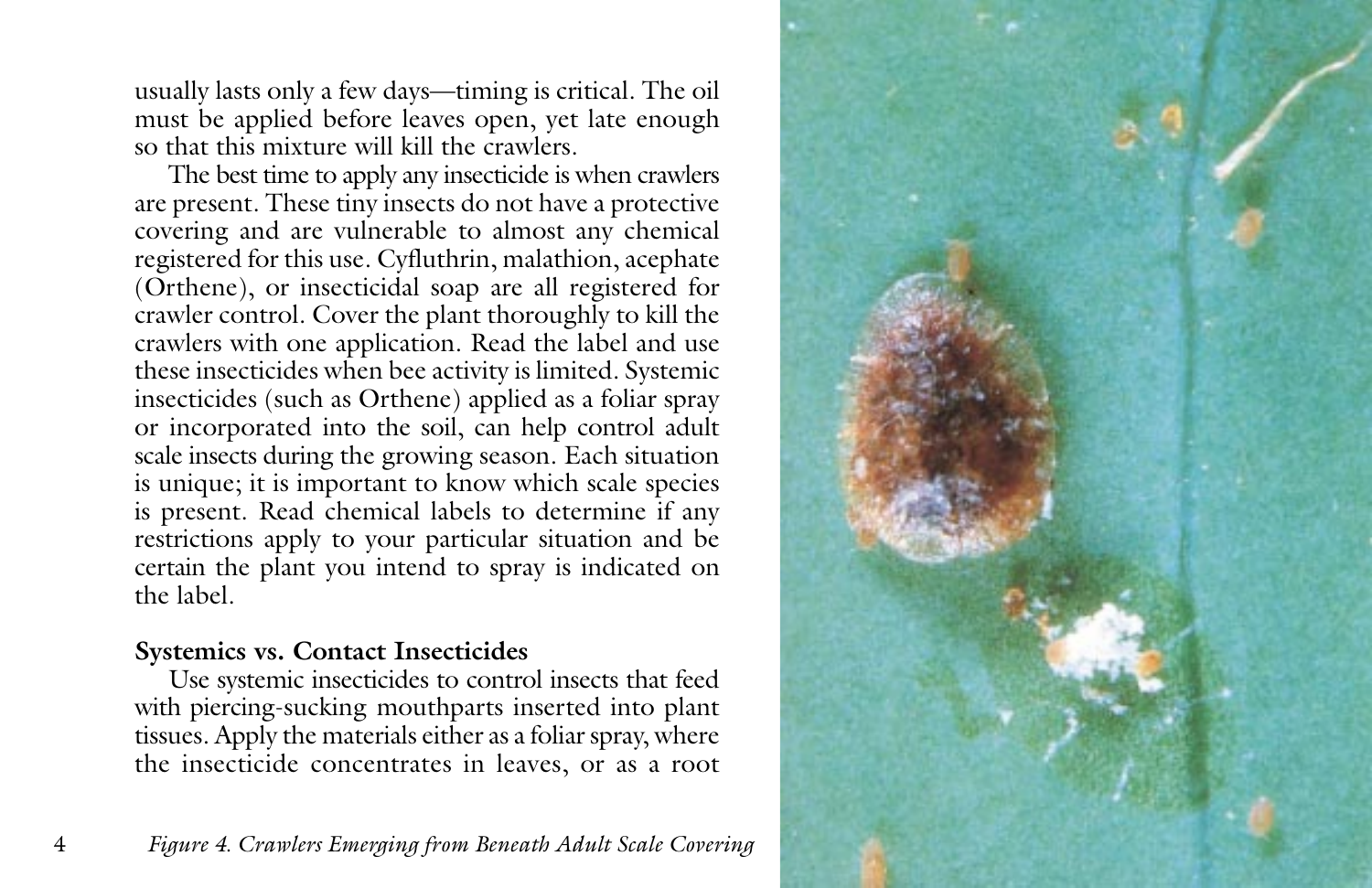usually lasts only a few days—timing is critical. The oil must be applied before leaves open, yet late enough so that this mixture will kill the crawlers.

The best time to apply any insecticide is when crawlers are present. These tiny insects do not have a protective covering and are vulnerable to almost any chemical registered for this use. Cyfluthrin, malathion, acephate (Orthene), or insecticidal soap are all registered for crawler control. Cover the plant thoroughly to kill the crawlers with one application. Read the label and use these insecticides when bee activity is limited. Systemic insecticides (such as Orthene) applied as a foliar spray or incorporated into the soil, can help control adult scale insects during the growing season. Each situation is unique; it is important to know which scale species is present. Read chemical labels to determine if any restrictions apply to your particular situation and be certain the plant you intend to spray is indicated on the label.

# **Systemics vs. Contact Insecticides**

Use systemic insecticides to control insects that feed with piercing-sucking mouthparts inserted into plant tissues. Apply the materials either as a foliar spray, where the insecticide concentrates in leaves, or as a root

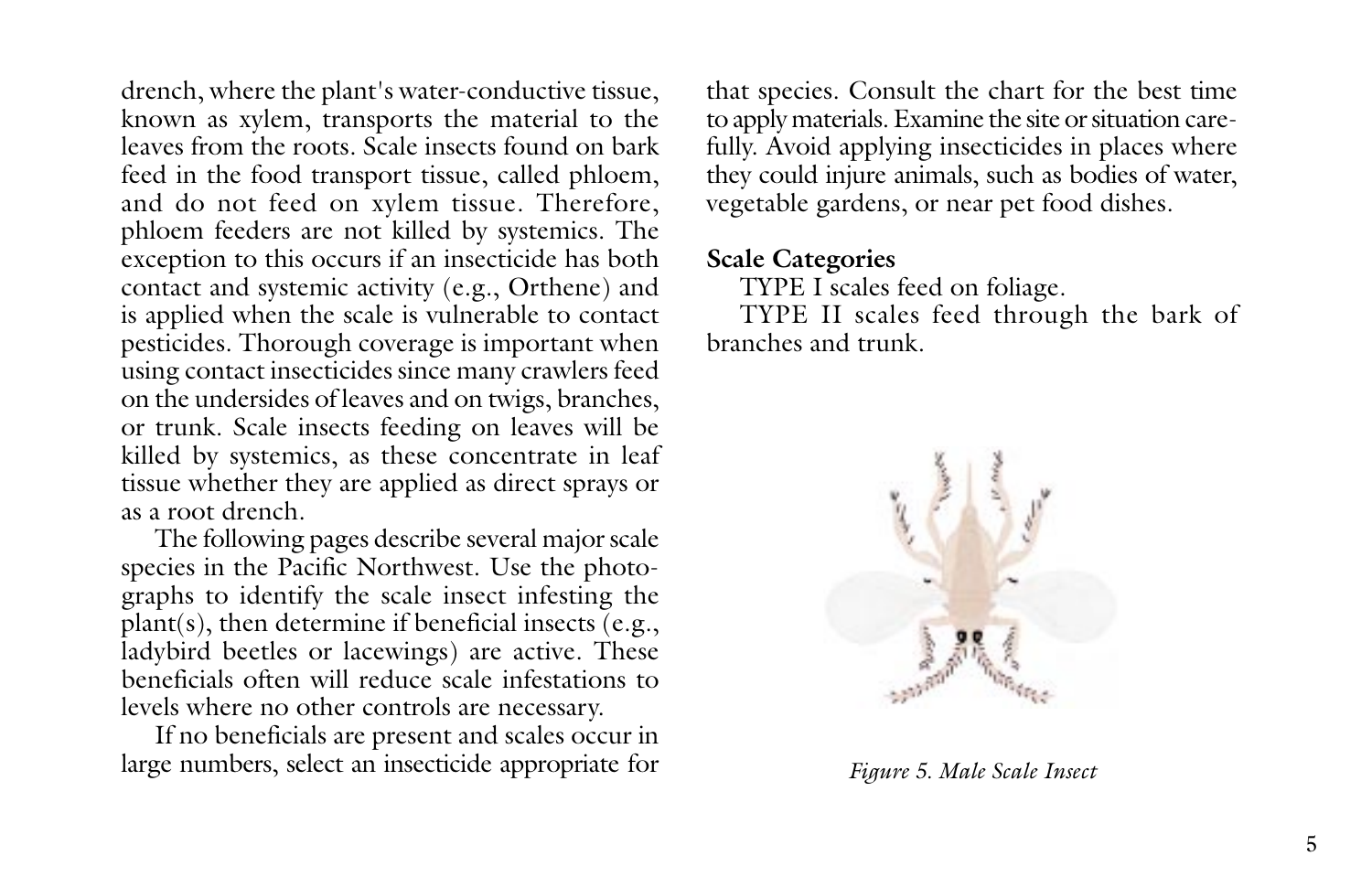drench, where the plant's water-conductive tissue, known as xylem, transports the material to the leaves from the roots. Scale insects found on bark feed in the food transport tissue, called phloem, and do not feed on xylem tissue. Therefore, phloem feeders are not killed by systemics. The exception to this occurs if an insecticide has both contact and systemic activity (e.g., Orthene) and is applied when the scale is vulnerable to contact pesticides. Thorough coverage is important when using contact insecticides since many crawlers feed on the undersides of leaves and on twigs, branches, or trunk. Scale insects feeding on leaves will be killed by systemics, as these concentrate in leaf tissue whether they are applied as direct sprays or as a root drench.

The following pages describe several major scale species in the Pacific Northwest. Use the photographs to identify the scale insect infesting the plant(s), then determine if beneficial insects (e.g., ladybird beetles or lacewings) are active. These beneficials often will reduce scale infestations to levels where no other controls are necessary.

If no beneficials are present and scales occur in large numbers, select an insecticide appropriate for

that species. Consult the chart for the best time to apply materials. Examine the site or situation carefully. Avoid applying insecticides in places where they could injure animals, such as bodies of water, vegetable gardens, or near pet food dishes.

#### **Scale Categories**

TYPE I scales feed on foliage.

TYPE II scales feed through the bark of branches and trunk.



*Figure 5. Male Scale Insect*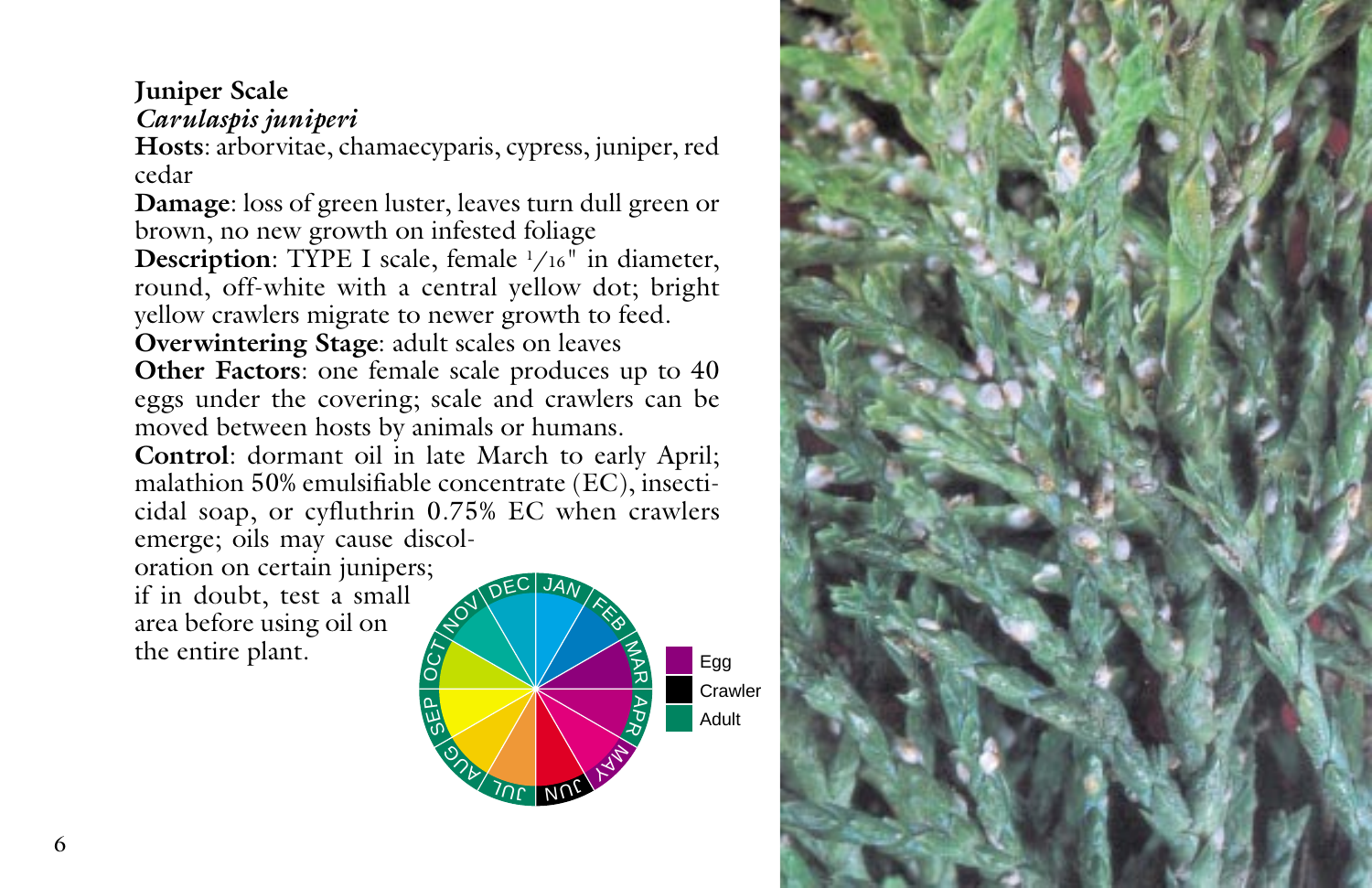# **Juniper Scale** *Carulaspis juniperi*

**Hosts**: arborvitae, chamaecyparis, cypress, juniper, red cedar

**Damage**: loss of green luster, leaves turn dull green or brown, no new growth on infested foliage

**Description**: TYPE I scale, female 1 /16" in diameter, round, off-white with a central yellow dot; bright yellow crawlers migrate to newer growth to feed.

**Overwintering Stage**: adult scales on leaves **Other Factors**: one female scale produces up to 40 eggs under the covering; scale and crawlers can be moved between hosts by animals or humans.

**Control**: dormant oil in late March to early April; malathion 50% emulsifiable concentrate (EC), insecticidal soap, or cyfluthrin 0.75% EC when crawlers emerge; oils may cause discol-

oration on certain junipers; if in doubt, test a small area before using oil on the entire plant.



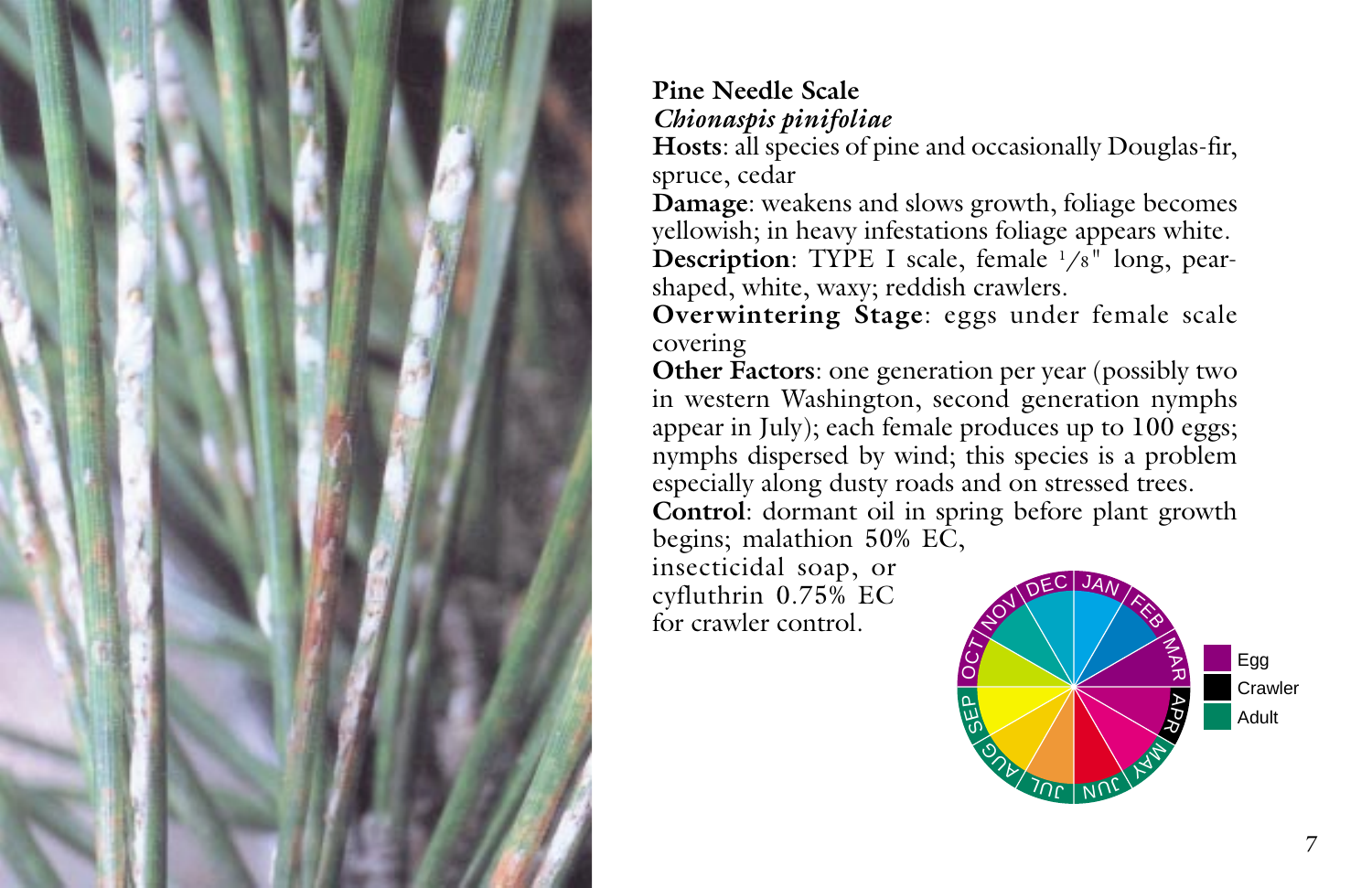

# **Pine Needle Scale** *Chionaspis pinifoliae*

**Hosts**: all species of pine and occasionally Douglas-fir, spruce, cedar

**Damage**: weakens and slows growth, foliage becomes yellowish; in heavy infestations foliage appears white. **Description**: TYPE I scale, female <sup>1</sup>/8" long, pearshaped, white, waxy; reddish crawlers.

**Overwintering Stage**: eggs under female scale covering

**Other Factors**: one generation per year (possibly two in western Washington, second generation nymphs appear in July); each female produces up to 100 eggs; nymphs dispersed by wind; this species is a problem especially along dusty roads and on stressed trees.

**Control**: dormant oil in spring before plant growth begins; malathion 50% EC,

insecticidal soap, or cyfluthrin 0.75% EC for crawler control.

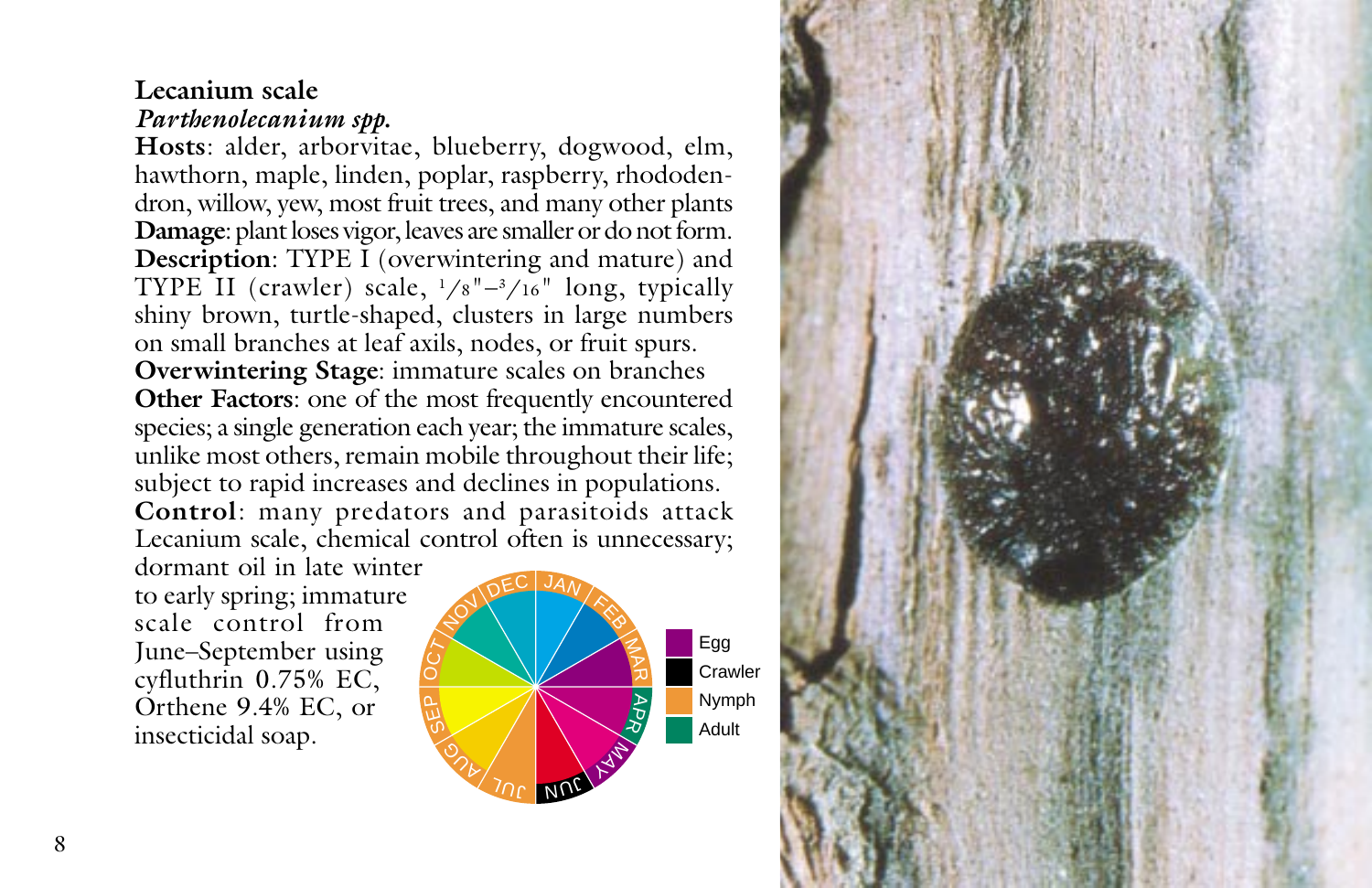## **Lecanium scale** *Parthenolecanium spp.*

**Hosts**: alder, arborvitae, blueberry, dogwood, elm, hawthorn, maple, linden, poplar, raspberry, rhododendron, willow, yew, most fruit trees, and many other plants **Damage**: plant loses vigor, leaves are smaller or do not form. **Description**: TYPE I (overwintering and mature) and TYPE II (crawler) scale,  $\frac{1}{8}$ "– $\frac{3}{16}$ " long, typically shiny brown, turtle-shaped, clusters in large numbers on small branches at leaf axils, nodes, or fruit spurs. **Overwintering Stage**: immature scales on branches **Other Factors**: one of the most frequently encountered species; a single generation each year; the immature scales, unlike most others, remain mobile throughout their life; subject to rapid increases and declines in populations. **Control**: many predators and parasitoids attack Lecanium scale, chemical control often is unnecessary;

dormant oil in late winter to early spring; immature scale control from June–September using cyfluthrin 0.75% EC, Orthene 9.4% EC, or insecticidal soap.



Egg **Crawler** Nymph Adult

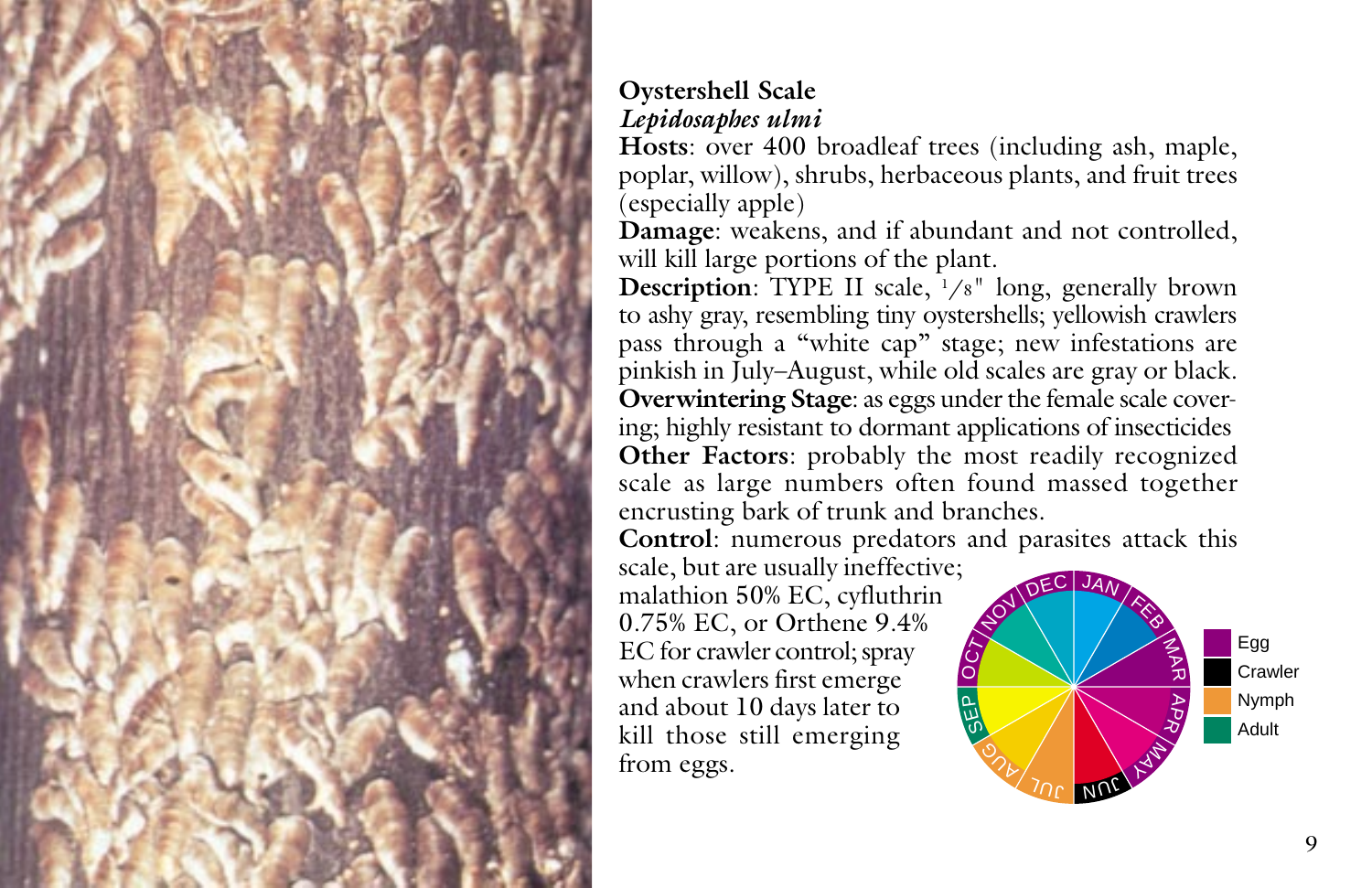

# **Oystershell Scale** *Lepidosaphes ulmi*

**Hosts**: over 400 broadleaf trees (including ash, maple, poplar, willow), shrubs, herbaceous plants, and fruit trees (especially apple)

**Damage**: weakens, and if abundant and not controlled, will kill large portions of the plant.

**Description:** TYPE II scale, <sup>1</sup>/8" long, generally brown to ashy gray, resembling tiny oystershells; yellowish crawlers pass through a "white cap" stage; new infestations are pinkish in July–August, while old scales are gray or black. **Overwintering Stage**: as eggs under the female scale covering; highly resistant to dormant applications of insecticides **Other Factors**: probably the most readily recognized scale as large numbers often found massed together encrusting bark of trunk and branches.

**Control**: numerous predators and parasites attack this

scale, but are usually ineffective; malathion 50% EC, cyfluthrin 0.75% EC, or Orthene 9.4% EC for crawler control; spray when crawlers first emerge and about 10 days later to kill those still emerging from eggs.

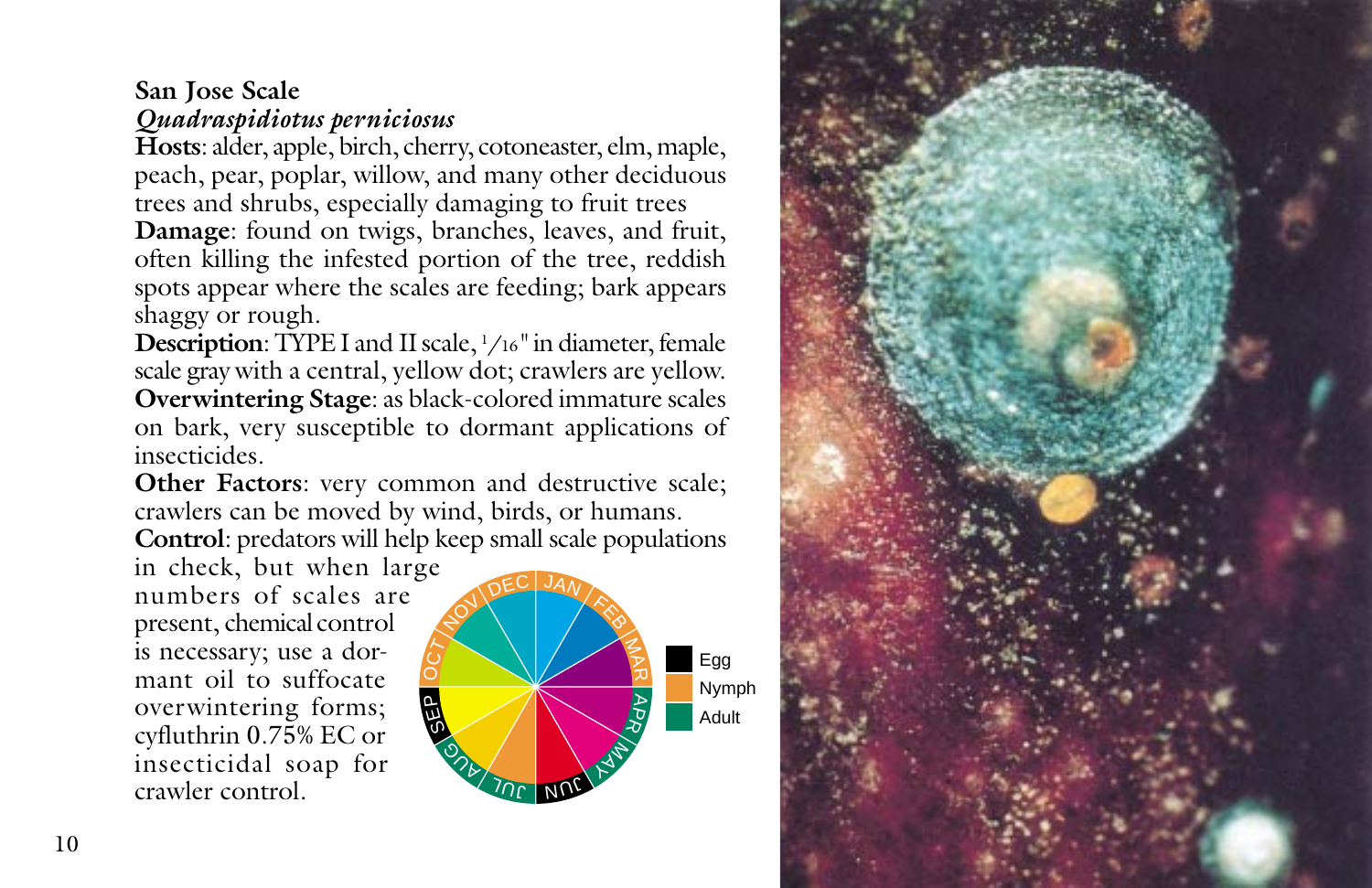# **San Jose Scale** *Quadraspidiotus perniciosus*

**Hosts**: alder, apple, birch, cherry, cotoneaster, elm, maple, peach, pear, poplar, willow, and many other deciduous trees and shrubs, especially damaging to fruit trees **Damage**: found on twigs, branches, leaves, and fruit, often killing the infested portion of the tree, reddish spots appear where the scales are feeding; bark appears shaggy or rough.

**Description**: TYPE I and II scale, 1 /16" in diameter, female scale gray with a central, yellow dot; crawlers are yellow. **Overwintering Stage**: as black-colored immature scales on bark, very susceptible to dormant applications of insecticides.

**Other Factors**: very common and destructive scale; crawlers can be moved by wind, birds, or humans. **Control**: predators will help keep small scale populations

in check, but when large numbers of scales are present, chemical control is necessary; use a dormant oil to suffocate overwintering forms; cyfluthrin 0.75% EC or insecticidal soap for crawler control.



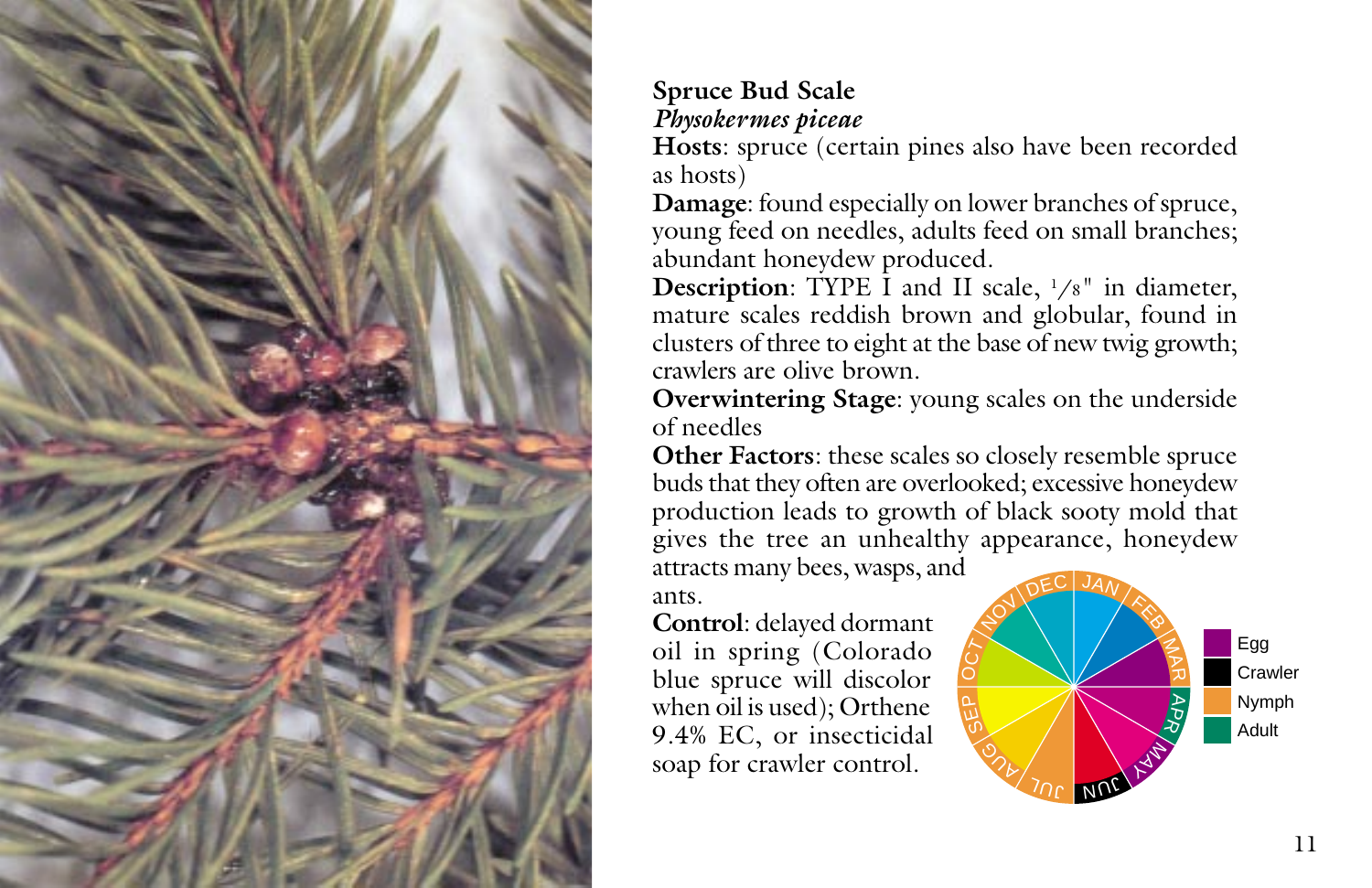

# **Spruce Bud Scale** *Physokermes piceae*

**Hosts**: spruce (certain pines also have been recorded as hosts)

**Damage**: found especially on lower branches of spruce, young feed on needles, adults feed on small branches; abundant honeydew produced.

**Description**: TYPE I and II scale,  $1/s$ <sup>"</sup> in diameter, mature scales reddish brown and globular, found in clusters of three to eight at the base of new twig growth; crawlers are olive brown.

**Overwintering Stage**: young scales on the underside of needles

**Other Factors**: these scales so closely resemble spruce buds that they often are overlooked; excessive honeydew production leads to growth of black sooty mold that gives the tree an unhealthy appearance, honeydew

attracts many bees, wasps, and ants.

**Control**: delayed dormant oil in spring (Colorado blue spruce will discolor when oil is used); Orthene 9.4% EC, or insecticidal soap for crawler control.

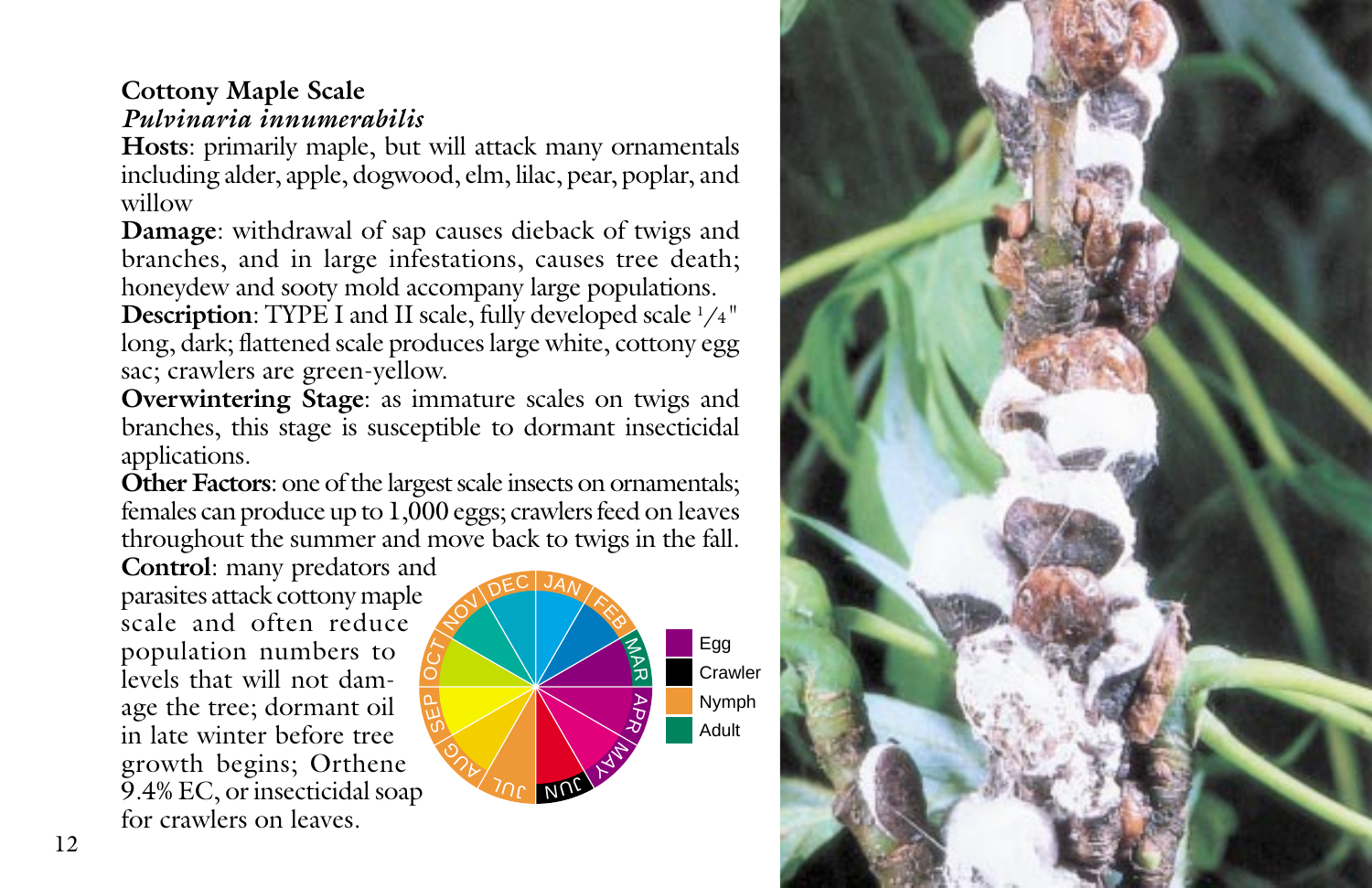## **Cottony Maple Scale** *Pulvinaria innumerabilis*

**Hosts**: primarily maple, but will attack many ornamentals including alder, apple, dogwood, elm, lilac, pear, poplar, and willow

**Damage**: withdrawal of sap causes dieback of twigs and branches, and in large infestations, causes tree death; honeydew and sooty mold accompany large populations.

**Description**: TYPE I and II scale, fully developed scale  $1/4$ " long, dark; flattened scale produces large white, cottony egg sac; crawlers are green-yellow.

**Overwintering Stage**: as immature scales on twigs and branches, this stage is susceptible to dormant insecticidal applications.

**Other Factors**: one of the largest scale insects on ornamentals; females can produce up to 1,000 eggs; crawlers feed on leaves throughout the summer and move back to twigs in the fall.

**Control**: many predators and parasites attack cottony maple scale and often reduce population numbers to levels that will not damage the tree; dormant oil in late winter before tree growth begins; Orthene 9.4% EC, or insecticidal soap for crawlers on leaves.  $\mathsf{p}$  $\circ$ 



**Crawler** Nymph

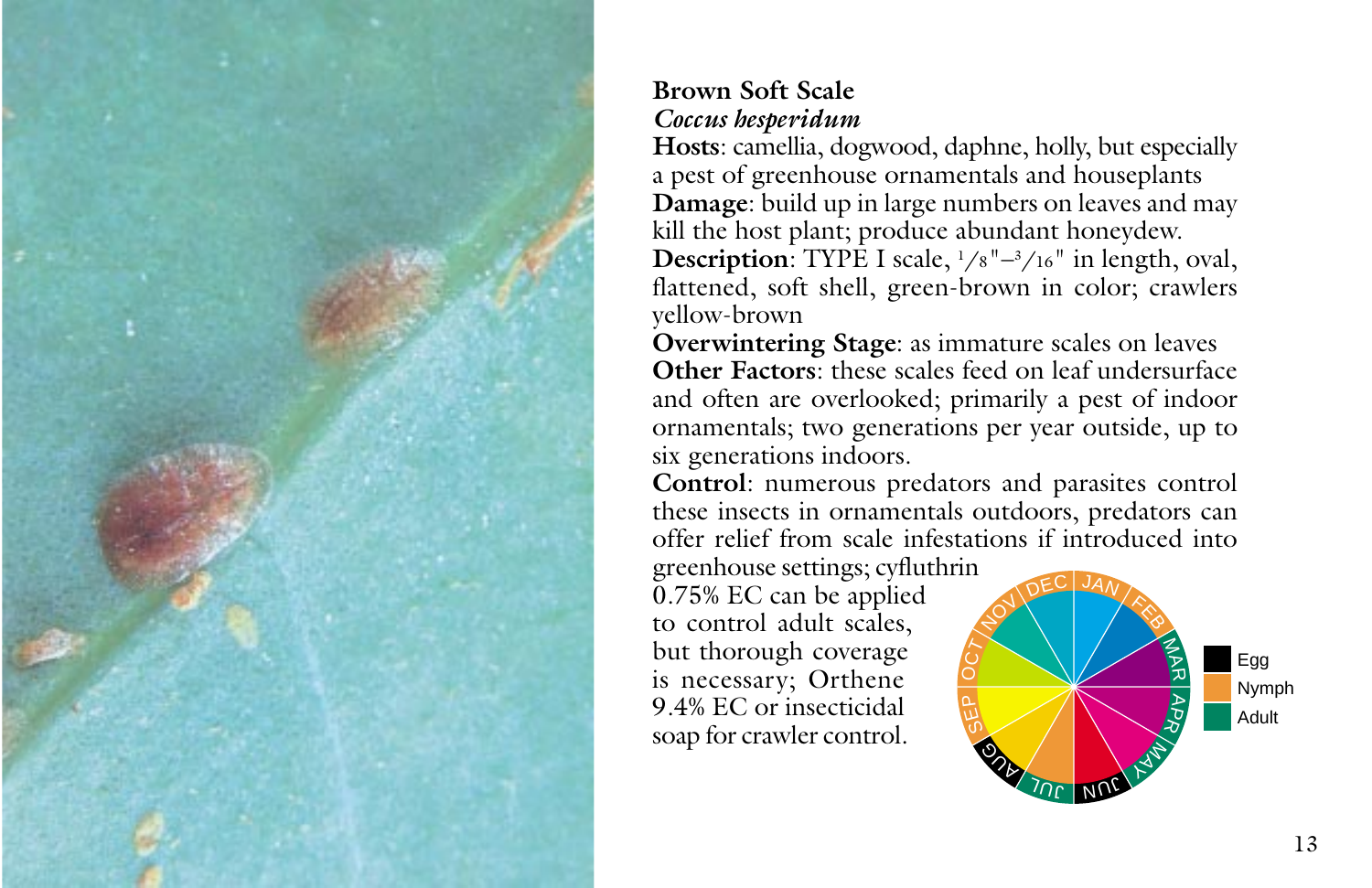

# **Brown Soft Scale** *Coccus hesperidum*

**Hosts**: camellia, dogwood, daphne, holly, but especially a pest of greenhouse ornamentals and houseplants **Damage**: build up in large numbers on leaves and may kill the host plant; produce abundant honeydew. **Description**: TYPE I scale,  $1/8$ "–3/16" in length, oval, flattened, soft shell, green-brown in color; crawlers yellow-brown

**Overwintering Stage**: as immature scales on leaves **Other Factors**: these scales feed on leaf undersurface and often are overlooked; primarily a pest of indoor ornamentals; two generations per year outside, up to six generations indoors.

**Control**: numerous predators and parasites control these insects in ornamentals outdoors, predators can offer relief from scale infestations if introduced into

greenhouse settings; cyfluthrin 0.75% EC can be applied to control adult scales, but thorough coverage is necessary; Orthene 9.4% EC or insecticidal soap for crawler control.

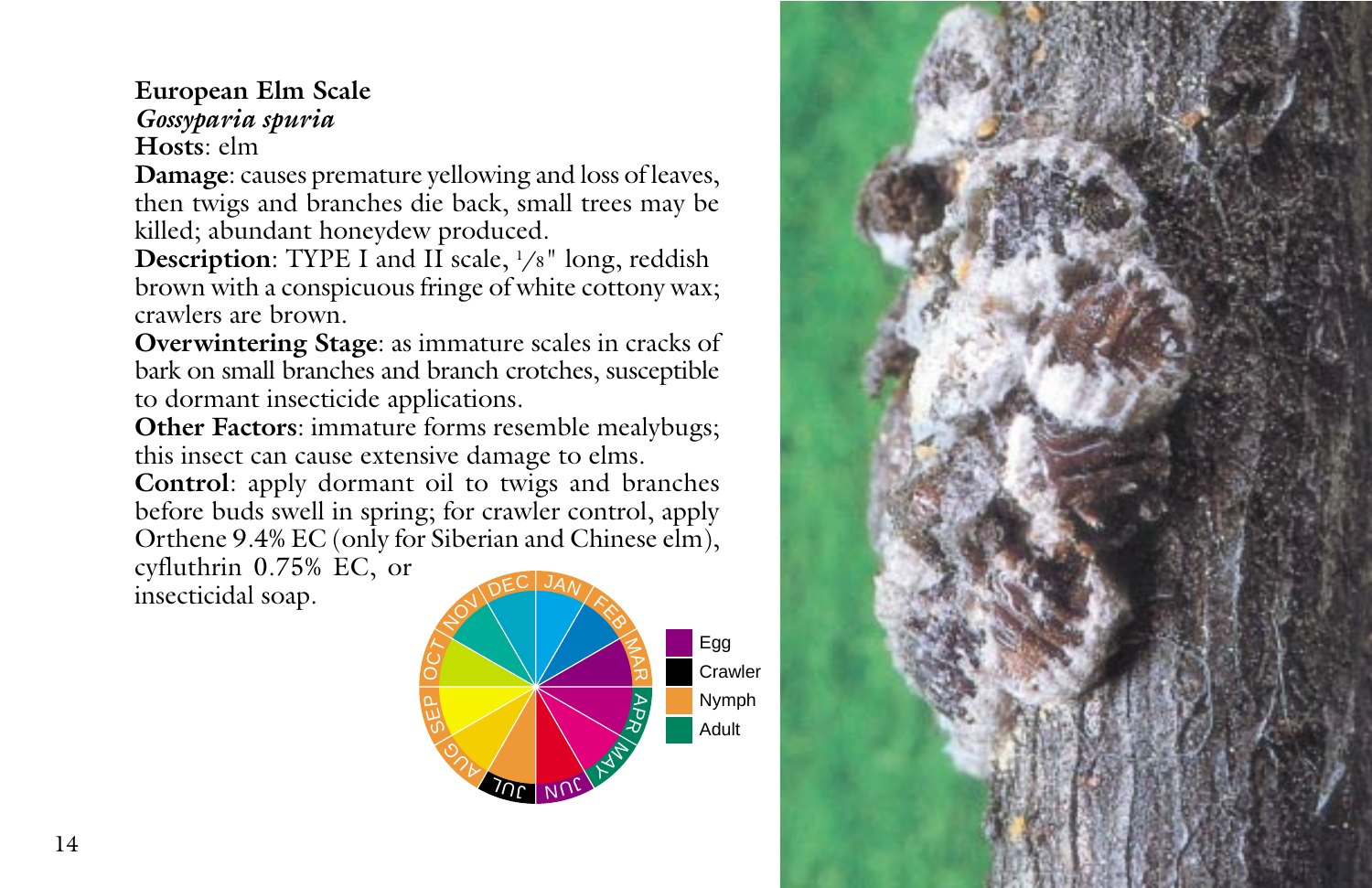#### **European Elm Scale** *Gossyparia spuria* **Hosts**: elm

**Damage**: causes premature yellowing and loss of leaves, then twigs and branches die back, small trees may be killed; abundant honeydew produced.

**Description**: TYPE I and II scale, 1/8" long, reddish brown with a conspicuous fringe of white cottony wax; crawlers are brown.

**Overwintering Stage**: as immature scales in cracks of bark on small branches and branch crotches, susceptible to dormant insecticide applications.

**Other Factors**: immature forms resemble mealybugs; this insect can cause extensive damage to elms.

**Control**: apply dormant oil to twigs and branches before buds swell in spring; for crawler control, apply Orthene 9.4% EC (only for Siberian and Chinese elm), cyfluthrin 0.75% EC, or

insecticidal soap.



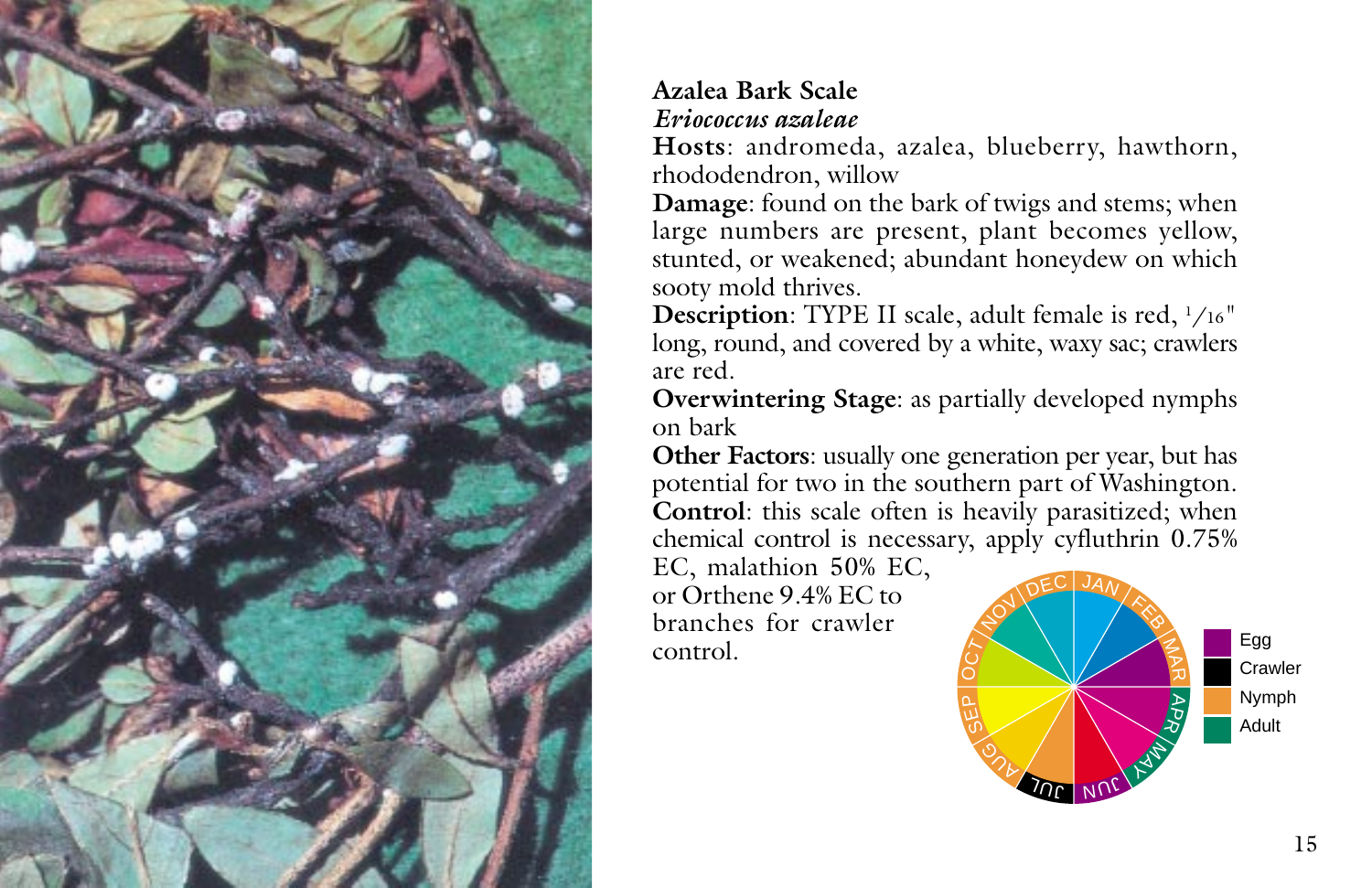

# **Azalea Bark Scale** *Eriococcus azaleae*

**Hosts**: andromeda, azalea, blueberry, hawthorn, rhododendron, willow

**Damage**: found on the bark of twigs and stems; when large numbers are present, plant becomes yellow, stunted, or weakened; abundant honeydew on which sooty mold thrives.

**Description**: TYPE II scale, adult female is red, 1 /16" long, round, and covered by a white, waxy sac; crawlers are red.

**Overwintering Stage**: as partially developed nymphs on bark

**Other Factors**: usually one generation per year, but has potential for two in the southern part of Washington. **Control**: this scale often is heavily parasitized; when chemical control is necessary, apply cyfluthrin 0.75%

EC, malathion 50% EC, or Orthene 9.4% EC to branches for crawler control.

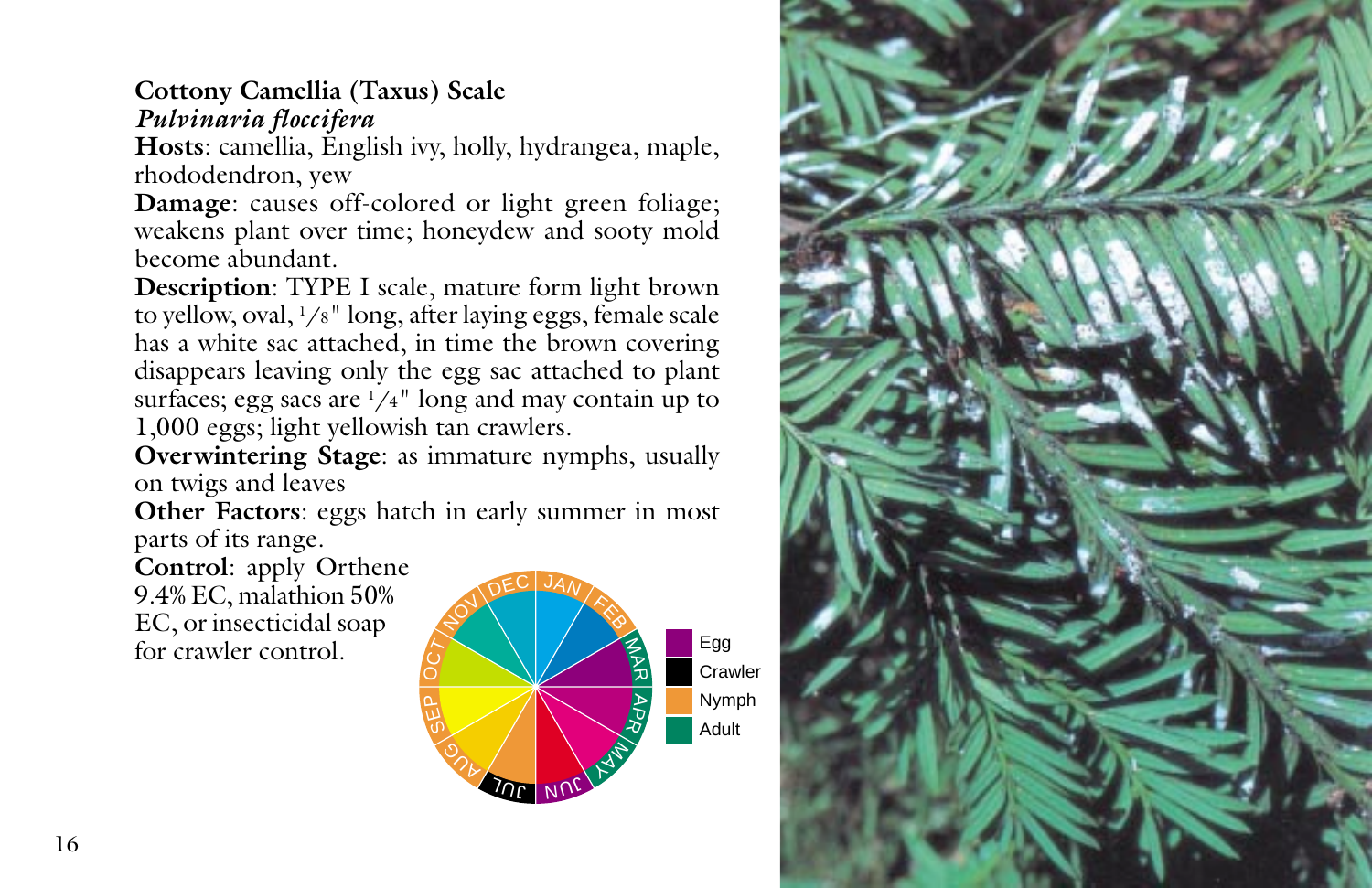## **Cottony Camellia (Taxus) Scale** *Pulvinaria floccifera*

**Hosts**: camellia, English ivy, holly, hydrangea, maple, rhododendron, yew

**Damage**: causes off-colored or light green foliage; weakens plant over time; honeydew and sooty mold become abundant.

**Description**: TYPE I scale, mature form light brown to yellow, oval, 1 /8" long, after laying eggs, female scale has a white sac attached, in time the brown covering disappears leaving only the egg sac attached to plant surfaces; egg sacs are  $1/4$ " long and may contain up to 1,000 eggs; light yellowish tan crawlers.

**Overwintering Stage**: as immature nymphs, usually on twigs and leaves

**Other Factors**: eggs hatch in early summer in most parts of its range.

**Control**: apply Orthene 9.4% EC, malathion 50% EC, or insecticidal soap for crawler control.



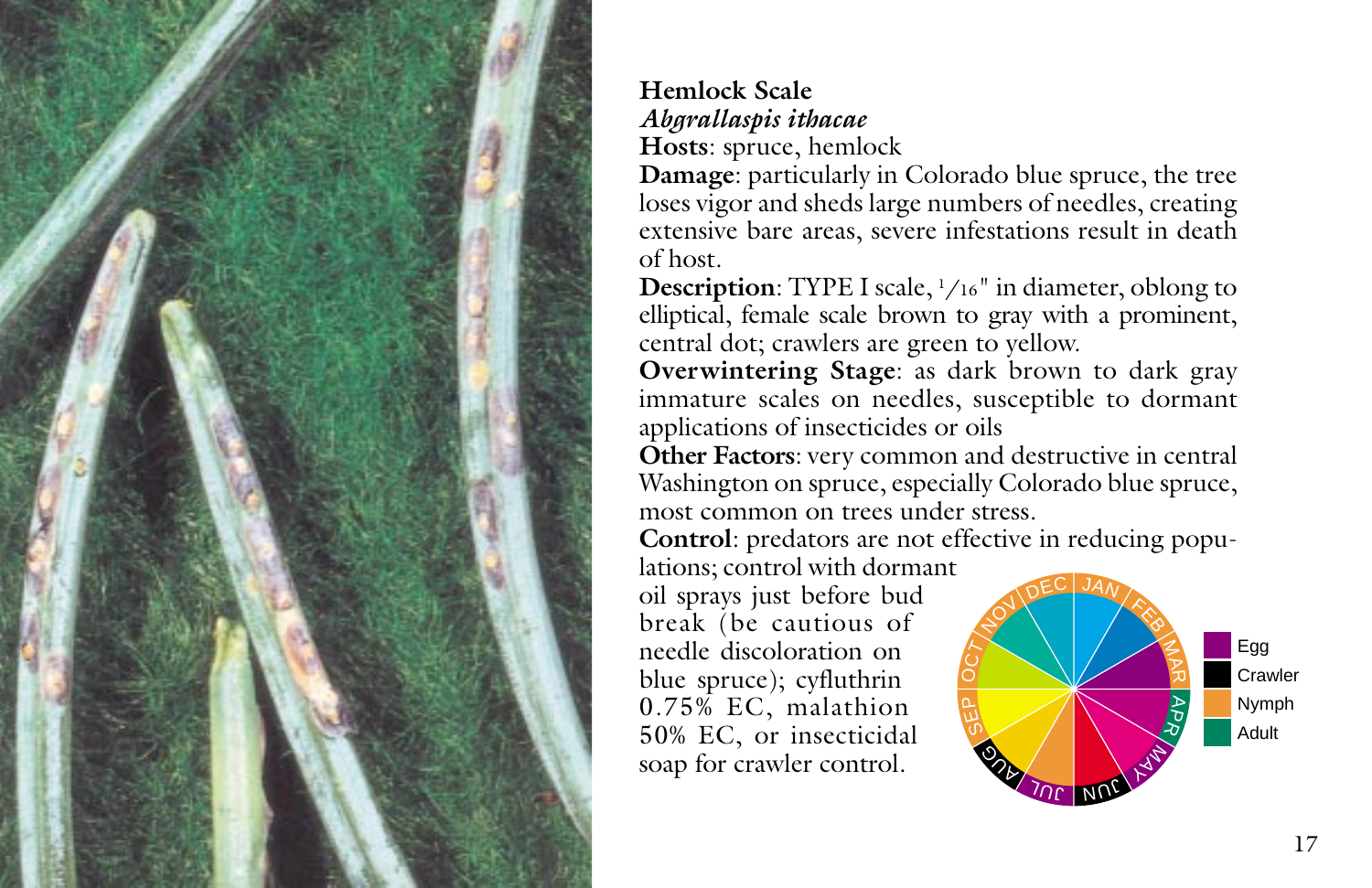

#### **Hemlock Scale** *Abgrallaspis ithacae* **Hosts**: spruce, hemlock

**Damage**: particularly in Colorado blue spruce, the tree loses vigor and sheds large numbers of needles, creating extensive bare areas, severe infestations result in death of host.

**Description**: TYPE I scale,  $\frac{1}{16}$ " in diameter, oblong to elliptical, female scale brown to gray with a prominent, central dot; crawlers are green to yellow.

**Overwintering Stage**: as dark brown to dark gray immature scales on needles, susceptible to dormant applications of insecticides or oils

**Other Factors**: very common and destructive in central Washington on spruce, especially Colorado blue spruce, most common on trees under stress.

**Control**: predators are not effective in reducing popu-

lations; control with dormant oil sprays just before bud break (be cautious of needle discoloration on blue spruce); cyfluthrin 0.75% EC, malathion 50% EC, or insecticidal soap for crawler control.

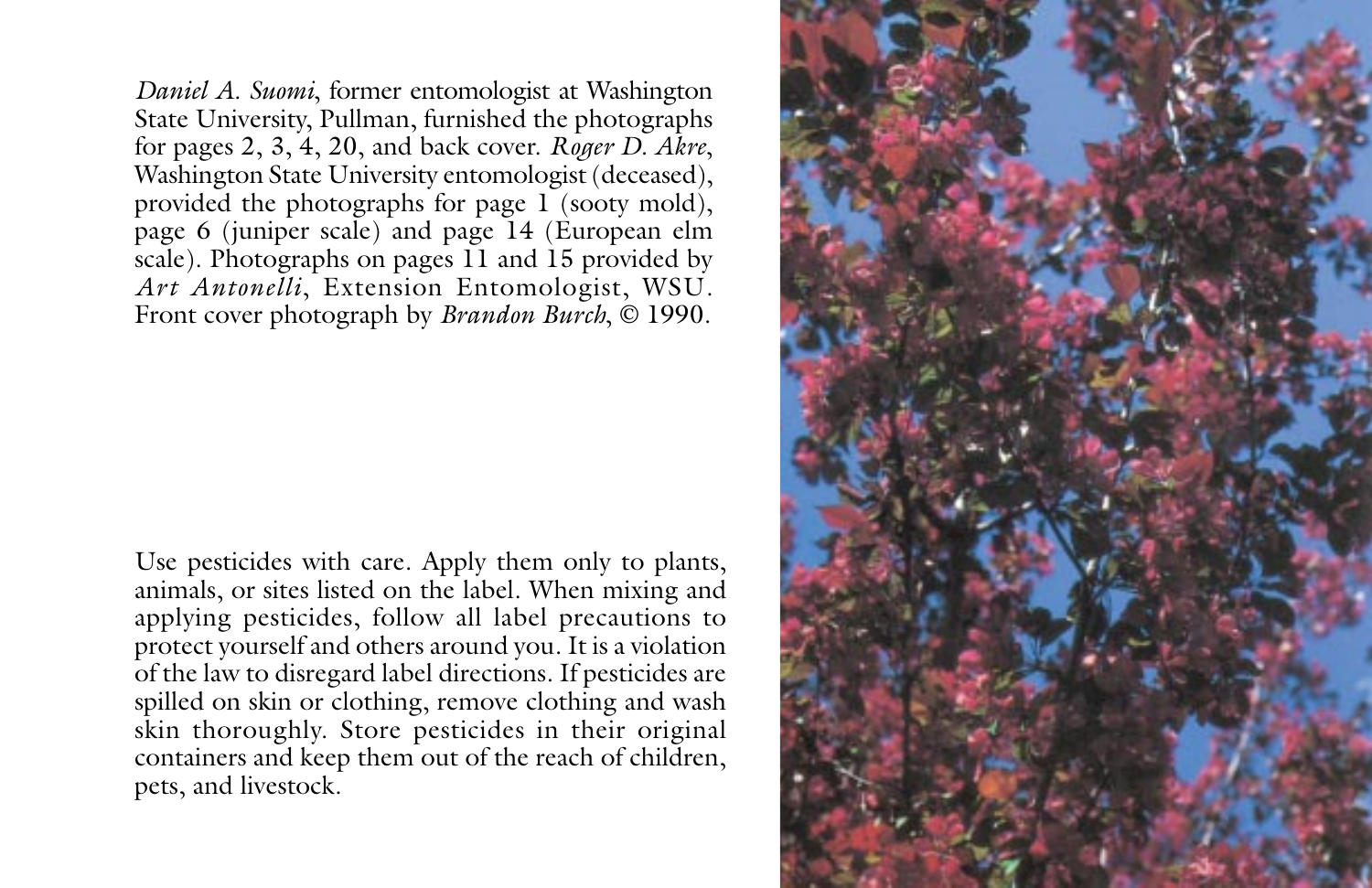*Daniel A. Suomi*, former entomologist at Washington State University, Pullman, furnished the photographs for pages 2, 3, 4, 20, and back cover. *Roger D. Akre*, Washington State University entomologist (deceased), provided the photographs for page 1 (sooty mold), page 6 (juniper scale) and page 14 (European elm scale). Photographs on pages 11 and 15 provided by *Art Antonelli*, Extension Entomologist, WSU. Front cover photograph by *Brandon Burch*, © 1990.

Use pesticides with care. Apply them only to plants, animals, or sites listed on the label. When mixing and applying pesticides, follow all label precautions to protect yourself and others around you. It is a violation of the law to disregard label directions. If pesticides are spilled on skin or clothing, remove clothing and wash skin thoroughly. Store pesticides in their original containers and keep them out of the reach of children, pets, and livestock.